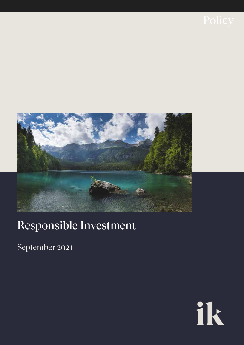

# Responsible Investment

September 2021

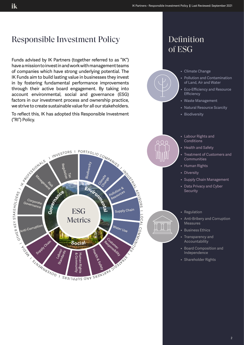

• Shareholder Rights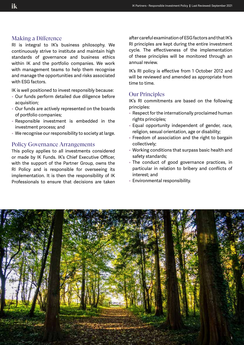#### Making a Difference

RI is integral to IK's business philosophy. We continuously strive to institute and maintain high standards of governance and business ethics within IK and the portfolio companies. We work with management teams to help them recognise and manage the opportunities and risks associated with ESG factors.

IK is well positioned to invest responsibly because:

- Our funds perform detailed due diligence before acquisition;
- Our funds are actively represented on the boards of portfolio companies;
- Responsible investment is embedded in the investment process; and
- We recognise our responsibility to society at large.

#### Policy Governance Arrangements

This policy applies to all investments considered or made by IK Funds. IK's Chief Executive Officer, with the support of the Partner Group, owns the RI Policy and is responsible for overseeing its implementation. It is then the responsibility of IK Professionals to ensure that decisions are taken

after careful examination of ESG factors and that IK's RI principles are kept during the entire investment cycle. The effectiveness of the implementation of these principles will be monitored through an annual review.

IK's RI policy is effective from 1 October 2012 and will be reviewed and amended as appropriate from time to time.

### Our Principles

IK's RI commitments are based on the following principles:

- Respect for the internationally proclaimed human rights principles;
- Equal opportunity independent of gender, race, religion, sexual orientation, age or disability;
- Freedom of association and the right to bargain collectively;
- Working conditions that surpass basic health and safety standards;
- The conduct of good governance practices, in particular in relation to bribery and conflicts of interest; and
- Environmental responsibility.